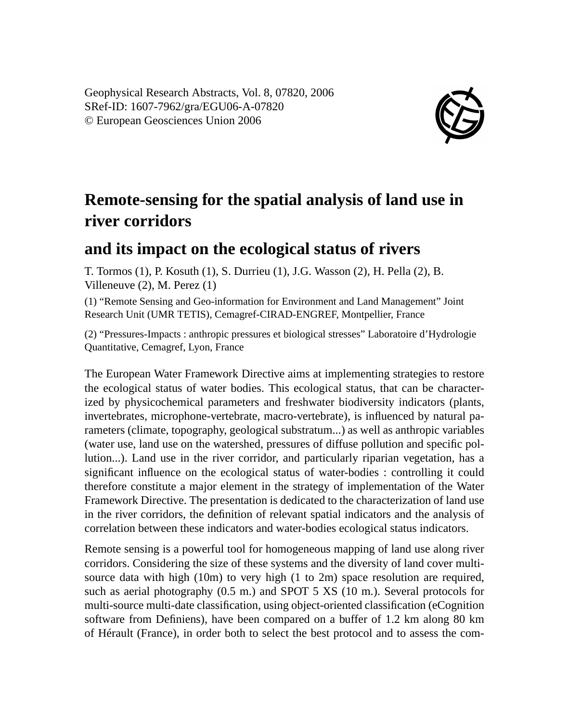Geophysical Research Abstracts, Vol. 8, 07820, 2006 SRef-ID: 1607-7962/gra/EGU06-A-07820 © European Geosciences Union 2006



## **Remote-sensing for the spatial analysis of land use in river corridors**

## **and its impact on the ecological status of rivers**

T. Tormos (1), P. Kosuth (1), S. Durrieu (1), J.G. Wasson (2), H. Pella (2), B. Villeneuve (2), M. Perez (1)

(1) "Remote Sensing and Geo-information for Environment and Land Management" Joint Research Unit (UMR TETIS), Cemagref-CIRAD-ENGREF, Montpellier, France

(2) "Pressures-Impacts : anthropic pressures et biological stresses" Laboratoire d'Hydrologie Quantitative, Cemagref, Lyon, France

The European Water Framework Directive aims at implementing strategies to restore the ecological status of water bodies. This ecological status, that can be characterized by physicochemical parameters and freshwater biodiversity indicators (plants, invertebrates, microphone-vertebrate, macro-vertebrate), is influenced by natural parameters (climate, topography, geological substratum...) as well as anthropic variables (water use, land use on the watershed, pressures of diffuse pollution and specific pollution...). Land use in the river corridor, and particularly riparian vegetation, has a significant influence on the ecological status of water-bodies : controlling it could therefore constitute a major element in the strategy of implementation of the Water Framework Directive. The presentation is dedicated to the characterization of land use in the river corridors, the definition of relevant spatial indicators and the analysis of correlation between these indicators and water-bodies ecological status indicators.

Remote sensing is a powerful tool for homogeneous mapping of land use along river corridors. Considering the size of these systems and the diversity of land cover multisource data with high (10m) to very high (1 to 2m) space resolution are required, such as aerial photography (0.5 m.) and SPOT 5 XS (10 m.). Several protocols for multi-source multi-date classification, using object-oriented classification (eCognition software from Definiens), have been compared on a buffer of 1.2 km along 80 km of Hérault (France), in order both to select the best protocol and to assess the com-